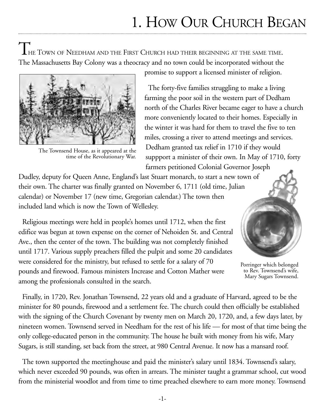# 1. HOW OUR CHURCH BEGAN

LHE TOWN OF NEEDHAM AND THE FIRST CHURCH HAD THEIR BEGINNING AT THE SAME TIME. The Massachusetts Bay Colony was a theocracy and no town could be incorporated without the



The Townsend House, as it appeared at the time of the Revolutionary War.

promise to support a licensed minister of religion.

The forty-five families struggling to make a living farming the poor soil in the western part of Dedham north of the Charles River became eager to have a church more conveniently located to their homes. Especially in the winter it was hard for them to travel the five to ten miles, crossing a river to attend meetings and services. Dedham granted tax relief in 1710 if they would suppport a minister of their own. In May of 1710, forty farmers petitioned Colonial Governor Joseph

Dudley, deputy for Queen Anne, England's last Stuart monarch, to start a new town of their own. The charter was finally granted on November 6, 1711 (old time, Julian calendar) or November 17 (new time, Gregorian calendar.) The town then included land which is now the Town of Wellesley.

Religious meetings were held in people's homes until 1712, when the first edifice was begun at town expense on the corner of Nehoiden St. and Central Ave., then the center of the town. The building was not completely finished until 1717. Various supply preachers filled the pulpit and some 20 candidates were considered for the ministry, but refused to settle for a salary of 70 pounds and firewood. Famous ministers Increase and Cotton Mather were among the professionals consulted in the search.



Porringer which belonged to Rev. Townsend's wife, Mary Sugars Townsend.

Finally, in 1720, Rev. Jonathan Townsend, 22 years old and a graduate of Harvard, agreed to be the minister for 80 pounds, firewood and a settlement fee. The church could then officially be established with the signing of the Church Covenant by twenty men on March 20, 1720, and, a few days later, by nineteen women. Townsend served in Needham for the rest of his life — for most of that time being the only college-educated person in the community. The house he built with money from his wife, Mary Sugars, is still standing, set back from the street, at 980 Central Avenue. It now has a mansard roof.

The town supported the meetinghouse and paid the minister's salary until 1834. Townsend's salary, which never exceeded 90 pounds, was often in arrears. The minister taught a grammar school, cut wood from the ministerial woodlot and from time to time preached elsewhere to earn more money. Townsend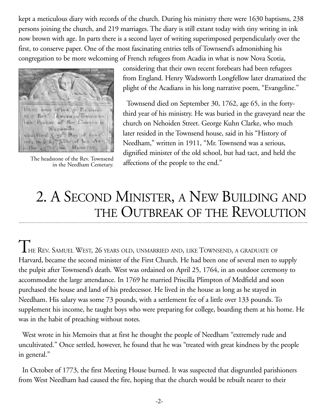kept a meticulous diary with records of the church. During his ministry there were 1630 baptisms, 238 persons joining the church, and 219 marriages. The diary is still extant today with tiny writing in ink now brown with age. In parts there is a second layer of writing superimposed perpendicularly over the first, to conserve paper. One of the most fascinating entries tells of Townsend's admonishing his congregation to be more welcoming of French refugees from Acadia in what is now Nova Scotia,



The headstone of the Rev. Townsend in the Needham Cemetary.

considering that their own recent forebears had been refugees from England. Henry Wadsworth Longfellow later dramatized the plight of the Acadians in his long narrative poem, "Evangeline."

Townsend died on September 30, 1762, age 65, in the fortythird year of his ministry. He was buried in the graveyard near the church on Nehoiden Street. George Kuhn Clarke, who much later resided in the Townsend house, said in his "History of Needham," written in 1911, "Mr. Townsend was a serious, dignified minister of the old school, but had tact, and held the affections of the people to the end."

# 2. A SECOND MINISTER, A NEW BUILDING AND THE OUTBREAK OF THE REVOLUTION

THE REV. SAMUEL WEST, 26 YEARS OLD, UNMARRIED AND, LIKE TOWNSEND, A GRADUATE OF Harvard, became the second minister of the First Church. He had been one of several men to supply the pulpit after Townsend's death. West was ordained on April 25, 1764, in an outdoor ceremony to accommodate the large attendance. In 1769 he married Priscilla Plimpton of Medfield and soon purchased the house and land of his predecessor. He lived in the house as long as he stayed in Needham. His salary was some 73 pounds, with a settlement fee of a little over 133 pounds. To supplement his income, he taught boys who were preparing for college, boarding them at his home. He was in the habit of preaching without notes.

West wrote in his Memoirs that at first he thought the people of Needham "extremely rude and uncultivated." Once settled, however, he found that he was "treated with great kindness by the people in general."

In October of 1773, the first Meeting House burned. It was suspected that disgruntled parishioners from West Needham had caused the fire, hoping that the church would be rebuilt nearer to their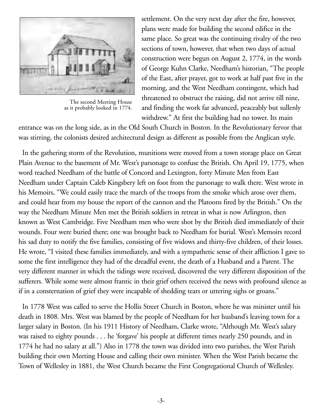

The second Meeting House as it probably looked in 1774.

settlement. On the very next day after the fire, however, plans were made for building the second edifice in the same place. So great was the continuing rivalry of the two sections of town, however, that when two days of actual construction were begun on August 2, 1774, in the words of George Kuhn Clarke, Needham's historian, "The people of the East, after prayer, got to work at half past five in the morning, and the West Needham contingent, which had threatened to obstruct the raising, did not arrive till nine, and finding the work far advanced, peaceably but sullenly withdrew." At first the building had no tower. Its main

entrance was on the long side, as in the Old South Church in Boston. In the Revolutionary fervor that was stirring, the colonists desired architectural design as different as possible from the Anglican style.

In the gathering storm of the Revolution, munitions were moved from a town storage place on Great Plain Avenue to the basement of Mr. West's parsonage to confuse the British. On April 19, 1775, when word reached Needham of the battle of Concord and Lexington, forty Minute Men from East Needham under Captain Caleb Kingsbery left on foot from the parsonage to walk there. West wrote in his Memoirs, "We could easily trace the march of the troops from the smoke which arose over them, and could hear from my house the report of the cannon and the Platoons fired by the British." On the way the Needham Minute Men met the British soldiers in retreat in what is now Arlington, then known as West Cambridge. Five Needham men who were shot by the British died immediately of their wounds. Four were buried there; one was brought back to Needham for burial. West's Memoirs record his sad duty to notify the five families, consisting of five widows and thirty-five children, of their losses. He wrote, "I visited these families immediately, and with a sympathetic sense of their affliction I gave to some the first intelligence they had of the dreadful event, the death of a Husband and a Parent. The very different manner in which the tidings were received, discovered the very different disposition of the sufferers. While some were almost frantic in their grief others received the news with profound silence as if in a consternation of grief they were incapable of shedding tears or uttering sighs or groans."

In 1778 West was called to serve the Hollis Street Church in Boston, where he was minister until his death in 1808. Mrs. West was blamed by the people of Needham for her husband's leaving town for a larger salary in Boston. (In his 1911 History of Needham, Clarke wrote, "Although Mr. West's salary was raised to eighty pounds . . . he 'forgave' his people at different times nearly 250 pounds, and in 1774 he had no salary at all.") Also in 1778 the town was divided into two parishes, the West Parish building their own Meeting House and calling their own minister. When the West Parish became the Town of Wellesley in 1881, the West Church became the First Congregational Church of Wellesley.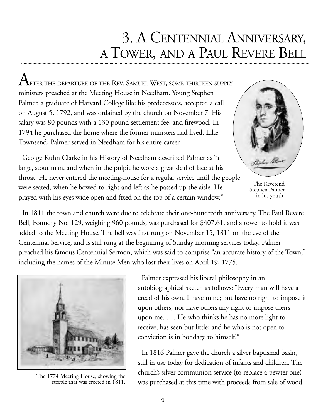# 3. A CENTENNIAL ANNIVERSARY, A TOWER, AND A PAUL REVERE BELL

 $A_\mathrm{FTER\,THE\, DEPARTURE\, OF\, THE\, REV.\, SAMUEL\, WEST,\, SOME\, THATEEN\, SUPPLY\,$ ministers preached at the Meeting House in Needham. Young Stephen Palmer, a graduate of Harvard College like his predecessors, accepted a call on August 5, 1792, and was ordained by the church on November 7. His salary was 80 pounds with a 130 pound settlement fee, and firewood. In 1794 he purchased the home where the former ministers had lived. Like Townsend, Palmer served in Needham for his entire career.

George Kuhn Clarke in his History of Needham described Palmer as "a large, stout man, and when in the pulpit he wore a great deal of lace at his throat. He never entered the meeting-house for a regular service until the people were seated, when he bowed to right and left as he passed up the aisle. He prayed with his eyes wide open and fixed on the top of a certain window."



The Reverend Stephen Palmer in his youth.

In 1811 the town and church were due to celebrate their one-hundredth anniversary. The Paul Revere Bell, Foundry No. 129, weighing 960 pounds, was purchased for \$407.61, and a tower to hold it was added to the Meeting House. The bell was first rung on November 15, 1811 on the eve of the Centennial Service, and is still rung at the beginning of Sunday morning services today. Palmer preached his famous Centennial Sermon, which was said to comprise "an accurate history of the Town," including the names of the Minute Men who lost their lives on April 19, 1775.



steeple that was erected in 1811.

Palmer expressed his liberal philosophy in an autobiographical sketch as follows: "Every man will have a creed of his own. I have mine; but have no right to impose it upon others, nor have others any right to impose theirs upon me. . . . He who thinks he has no more light to receive, has seen but little; and he who is not open to conviction is in bondage to himself."

In 1816 Palmer gave the church a silver baptismal basin, still in use today for dedication of infants and children. The church's silver communion service (to replace a pewter one) The 1774 Meeting House, showing the<br>steeple that was erected in 1811. was purchased at this time with proceeds from sale of wood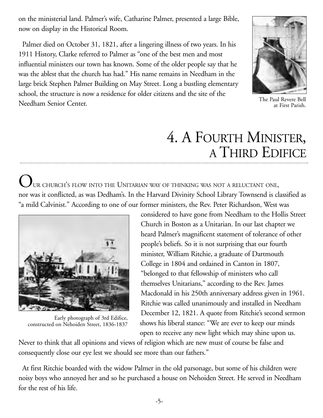on the ministerial land. Palmer's wife, Catharine Palmer, presented a large Bible, now on display in the Historical Room.

Palmer died on October 31, 1821, after a lingering illness of two years. In his 1911 History, Clarke referred to Palmer as "one of the best men and most influential ministers our town has known. Some of the older people say that he was the ablest that the church has had." His name remains in Needham in the large brick Stephen Palmer Building on May Street. Long a bustling elementary school, the structure is now a residence for older citizens and the site of the Needham Senior Center.



The Paul Revere Bell at First Parish.

# 4. A FOURTH MINISTER, A THIRD EDIFICE

 $\bm{U}$ ur church's flow into the Unitarian way of thinking was not a reluctant one, nor was it conflicted, as was Dedham's. In the Harvard Divinity School Library Townsend is classified as "a mild Calvinist." According to one of our former ministers, the Rev. Peter Richardson, West was



Early photograph of 3rd Edifice, constructed on Nehoiden Street, 1836-1837

considered to have gone from Needham to the Hollis Street Church in Boston as a Unitarian. In our last chapter we heard Palmer's magnificent statement of tolerance of other people's beliefs. So it is not surprising that our fourth minister, William Ritchie, a graduate of Dartmouth College in 1804 and ordained in Canton in 1807, "belonged to that fellowship of ministers who call themselves Unitarians," according to the Rev. James Macdonald in his 250th anniversary address given in 1961. Ritchie was called unanimously and installed in Needham December 12, 1821. A quote from Ritchie's second sermon shows his liberal stance: "We are ever to keep our minds open to receive any new light which may shine upon us.

Never to think that all opinions and views of religion which are new must of course be false and consequently close our eye lest we should see more than our fathers."

At first Ritchie boarded with the widow Palmer in the old parsonage, but some of his children were noisy boys who annoyed her and so he purchased a house on Nehoiden Street. He served in Needham for the rest of his life.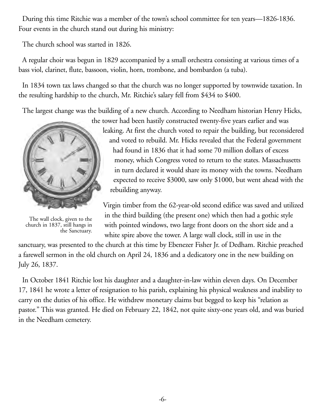During this time Ritchie was a member of the town's school committee for ten years—1826-1836. Four events in the church stand out during his ministry:

The church school was started in 1826.

A regular choir was begun in 1829 accompanied by a small orchestra consisting at various times of a bass viol, clarinet, flute, bassoon, violin, horn, trombone, and bombardon (a tuba).

In 1834 town tax laws changed so that the church was no longer supported by townwide taxation. In the resulting hardship to the church, Mr. Ritchie's salary fell from \$434 to \$400.

The largest change was the building of a new church. According to Needham historian Henry Hicks,



The wall clock, given to the church in 1837, still hangs in the Sanctuary.

the tower had been hastily constructed twenty-five years earlier and was leaking. At first the church voted to repair the building, but reconsidered and voted to rebuild. Mr. Hicks revealed that the Federal government had found in 1836 that it had some 70 million dollars of excess money, which Congress voted to return to the states. Massachusetts in turn declared it would share its money with the towns. Needham expected to receive \$3000, saw only \$1000, but went ahead with the rebuilding anyway.

Virgin timber from the 62-year-old second edifice was saved and utilized in the third building (the present one) which then had a gothic style with pointed windows, two large front doors on the short side and a white spire above the tower. A large wall clock, still in use in the

sanctuary, was presented to the church at this time by Ebenezer Fisher Jr. of Dedham. Ritchie preached a farewell sermon in the old church on April 24, 1836 and a dedicatory one in the new building on July 26, 1837.

In October 1841 Ritchie lost his daughter and a daughter-in-law within eleven days. On December 17, 1841 he wrote a letter of resignation to his parish, explaining his physical weakness and inability to carry on the duties of his office. He withdrew monetary claims but begged to keep his "relation as pastor." This was granted. He died on February 22, 1842, not quite sixty-one years old, and was buried in the Needham cemetery.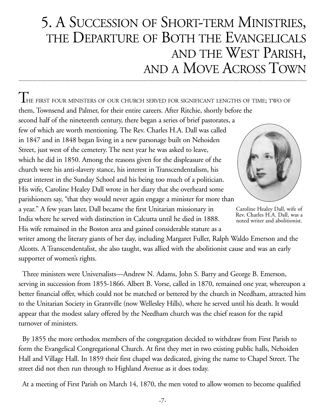## 5. A SUCCESSION OF SHORT-TERM MINISTRIES, THE DEPARTURE OF BOTH THE EVANGELICALS AND THE WEST PARISH, AND A MOVE ACROSS TOWN

THE FIRST FOUR MINISTERS OF OUR CHURCH SERVED FOR SIGNIFICANT LENGTHS OF TIME; TWO OF them, Townsend and Palmer, for their entire careers. After Ritchie, shortly before the

second half of the nineteenth century, there began a series of brief pastorates, a few of which are worth mentioning. The Rev. Charles H.A. Dall was called in 1847 and in 1848 began living in a new parsonage built on Nehoiden Street, just west of the cemetery. The next year he was asked to leave, which he did in 1850. Among the reasons given for the displeasure of the church were his anti-slavery stance, his interest in Transcendentalism, his great interest in the Sunday School and his being too much of a politician. His wife, Caroline Healey Dall wrote in her diary that she overheard some parishioners say, "that they would never again engage a minister for more than a year." A few years later, Dall became the first Unitarian missionary in

India where he served with distinction in Calcutta until he died in 1888. His wife remained in the Boston area and gained considerable stature as a

Caroline Healey Dall, wife of Rev. Charles H.A. Dall, was a noted writer and abolitionist.

writer among the literary giants of her day, including Margaret Fuller, Ralph Waldo Emerson and the Alcotts. A Transcendentalist, she also taught, was allied with the abolitionist cause and was an early supporter of women's rights.

Three ministers were Universalists—Andrew N. Adams, John S. Barry and George B. Emerson, serving in succession from 1855-1866. Albert B. Vorse, called in 1870, remained one year, whereupon a better financial offer, which could not be matched or bettered by the church in Needham, attracted him to the Unitarian Society in Grantville (now Wellesley Hills), where he served until his death. It would appear that the modest salary offered by the Needham church was the chief reason for the rapid turnover of ministers.

By 1855 the more orthodox members of the congregation decided to withdraw from First Parish to form the Evangelical Congregational Church. At first they met in two existing public halls, Nehoiden Hall and Village Hall. In 1859 their first chapel was dedicated, giving the name to Chapel Street. The street did not then run through to Highland Avenue as it does today.

At a meeting of First Parish on March 14, 1870, the men voted to allow women to become qualified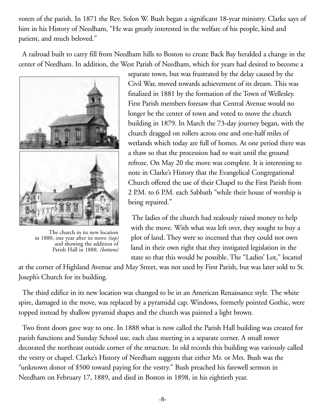voters of the parish. In 1871 the Rev. Solon W. Bush began a significant 18-year ministry. Clarke says of him in his History of Needham, "He was greatly interested in the welfare of his people, kind and patient, and much beloved."

A railroad built to carry fill from Needham hills to Boston to create Back Bay heralded a change in the center of Needham. In addition, the West Parish of Needham, which for years had desired to become a



The church in its new location in 1880, one year after its move *(top)* and showing the addition of Parish Hall in 1888. *(bottom)*

separate town, but was frustrated by the delay caused by the Civil War, moved towards achievement of its dream. This was finalized in 1881 by the formation of the Town of Wellesley. First Parish members foresaw that Central Avenue would no longer be the center of town and voted to move the church building in 1879. In March the 73-day journey began, with the church dragged on rollers across one and one-half miles of wetlands which today are full of homes. At one period there was a thaw so that the procession had to wait until the ground refroze. On May 20 the move was complete. It is interesting to note in Clarke's History that the Evangelical Congregational Church offered the use of their Chapel to the First Parish from 2 P.M. to 6 P.M. each Sabbath "while their house of worship is being repaired."

The ladies of the church had zealously raised money to help with the move. With what was left over, they sought to buy a plot of land. They were so incensed that they could not own land in their own right that they instigated legislation in the state so that this would be possible. The "Ladies' Lot," located

at the corner of Highland Avenue and May Street, was not used by First Parish, but was later sold to St. Joseph's Church for its building.

The third edifice in its new location was changed to be in an American Renaissance style. The white spire, damaged in the move, was replaced by a pyramidal cap. Windows, formerly pointed Gothic, were topped instead by shallow pyramid shapes and the church was painted a light brown.

Two front doors gave way to one. In 1888 what is now called the Parish Hall building was created for parish functions and Sunday School use, each class meeting in a separate corner. A small tower decorated the northeast outside corner of the structure. In old records this building was variously called the vestry or chapel. Clarke's History of Needham suggests that either Mr. or Mrs. Bush was the "unknown donor of \$500 toward paying for the vestry." Bush preached his farewell sermon in Needham on February 17, 1889, and died in Boston in 1898, in his eightieth year.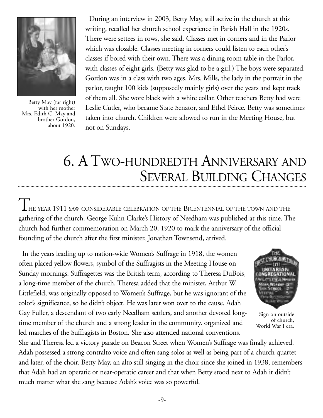

Betty May (far right) with her mother Mrs. Edith C. May and brother Gordon, about 1920.

During an interview in 2003, Betty May, still active in the church at this writing, recalled her church school experience in Parish Hall in the 1920s. There were settees in rows, she said. Classes met in corners and in the Parlor which was closable. Classes meeting in corners could listen to each other's classes if bored with their own. There was a dining room table in the Parlor, with classes of eight girls. (Betty was glad to be a girl.) The boys were separated. Gordon was in a class with two ages. Mrs. Mills, the lady in the portrait in the parlor, taught 100 kids (supposedly mainly girls) over the years and kept track of them all. She wore black with a white collar. Other teachers Betty had were Leslie Cutler, who became State Senator, and Ethel Peirce. Betty was sometimes taken into church. Children were allowed to run in the Meeting House, but not on Sundays.

## 6. A TWO-HUNDREDTH ANNIVERSARY AND SEVERAL BUILDING CHANGES

THE YEAR 1911 SAW CONSIDERABLE CELEBRATION OF THE BICENTENNIAL OF THE TOWN AND THE gathering of the church. George Kuhn Clarke's History of Needham was published at this time. The church had further commemoration on March 20, 1920 to mark the anniversary of the official founding of the church after the first minister, Jonathan Townsend, arrived.

In the years leading up to nation-wide Women's Suffrage in 1918, the women often placed yellow flowers, symbol of the Suffragists in the Meeting House on Sunday mornings. Suffragettes was the British term, according to Theresa DuBois, a long-time member of the church. Theresa added that the minister, Arthur W. Littlefield, was originally opposed to Women's Suffrage, but he was ignorant of the color's significance, so he didn't object. He was later won over to the cause. Adah Gay Fuller, a descendant of two early Needham settlers, and another devoted longtime member of the church and a strong leader in the community. organized and led marches of the Suffragists in Boston. She also attended national conventions.



Sign on outside of church, World War I era.

She and Theresa led a victory parade on Beacon Street when Women's Suffrage was finally achieved. Adah possessed a strong contralto voice and often sang solos as well as being part of a church quartet and later, of the choir. Betty May, an alto still singing in the choir since she joined in 1938, remembers that Adah had an operatic or near-operatic career and that when Betty stood next to Adah it didn't much matter what she sang because Adah's voice was so powerful.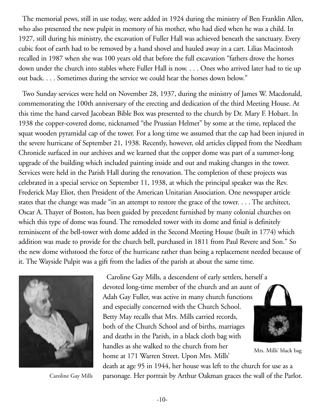The memorial pews, still in use today, were added in 1924 during the ministry of Ben Franklin Allen, who also presented the new pulpit in memory of his mother, who had died when he was a child. In 1927, still during his ministry, the excavation of Fuller Hall was achieved beneath the sanctuary. Every cubic foot of earth had to be removed by a hand shovel and hauled away in a cart. Lilias Macintosh recalled in 1987 when she was 100 years old that before the full excavation "fathers drove the horses down under the church into stables where Fuller Hall is now. . . . Ones who arrived later had to tie up out back. . . . Sometimes during the service we could hear the horses down below."

Two Sunday services were held on November 28, 1937, during the ministry of James W. Macdonald, commemorating the 100th anniversary of the erecting and dedication of the third Meeting House. At this time the hand carved Jacobean Bible Box was presented to the church by Dr. Mary F. Hobart. In 1938 the copper-covered dome, nicknamed "the Prussian Helmet" by some at the time, replaced the squat wooden pyramidal cap of the tower. For a long time we assumed that the cap had been injured in the severe hurricane of September 21, 1938. Recently, however, old articles clipped from the Needham Chronicle surfaced in our archives and we learned that the copper dome was part of a summer-long upgrade of the building which included painting inside and out and making changes in the tower. Services were held in the Parish Hall during the renovation. The completion of these projects was celebrated in a special service on September 11, 1938, at which the principal speaker was the Rev. Frederick May Eliot, then President of the American Unitarian Association. One newspaper article states that the change was made "in an attempt to restore the grace of the tower. . . . The architect, Oscar A. Thayer of Boston, has been guided by precedent furnished by many colonial churches on which this type of dome was found. The remodeled tower with its dome and finial is definitely reminiscent of the bell-tower with dome added in the Second Meeting House (built in 1774) which addition was made to provide for the church bell, purchased in 1811 from Paul Revere and Son." So the new dome withstood the force of the hurricane rather than being a replacement needed because of it. The Wayside Pulpit was a gift from the ladies of the parish at about the same time.



Caroline Gay Mills, a descendent of early settlers, herself a devoted long-time member of the church and an aunt of Adah Gay Fuller, was active in many church functions and especially concerned with the Church School. Betty May recalls that Mrs. Mills carried records, both of the Church School and of births, marriages and deaths in the Parish, in a black cloth bag with handles as she walked to the church from her home at 171 Warren Street. Upon Mrs. Mills'



Mrs. Mills' black bag

death at age 95 in 1944, her house was left to the church for use as a Caroline Gay Mills parsonage. Her portrait by Arthur Oakman graces the wall of the Parlor.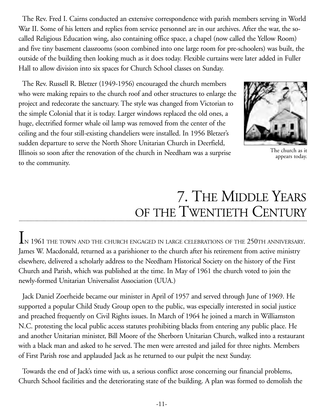The Rev. Fred I. Cairns conducted an extensive correspondence with parish members serving in World War II. Some of his letters and replies from service personnel are in our archives. After the war, the socalled Religious Education wing, also containing office space, a chapel (now called the Yellow Room) and five tiny basement classrooms (soon combined into one large room for pre-schoolers) was built, the outside of the building then looking much as it does today. Flexible curtains were later added in Fuller Hall to allow division into six spaces for Church School classes on Sunday.

The Rev. Russell R. Bletzer (1949-1956) encouraged the church members who were making repairs to the church roof and other structures to enlarge the project and redecorate the sanctuary. The style was changed from Victorian to the simple Colonial that it is today. Larger windows replaced the old ones, a huge, electrified former whale oil lamp was removed from the center of the ceiling and the four still-existing chandeliers were installed. In 1956 Bletzer's sudden departure to serve the North Shore Unitarian Church in Deerfield, Illinois so soon after the renovation of the church in Needham was a surprise to the community.



The church as it appears today.

# 7. THE MIDDLE YEARS OF THE TWENTIETH CENTURY

 $\rm l$ <sub>N</sub> 1961 the town and the church engaged in large celebrations of the 250th anniversary. James W. Macdonald, returned as a parishioner to the church after his retirement from active ministry elsewhere, delivered a scholarly address to the Needham Historical Society on the history of the First Church and Parish, which was published at the time. In May of 1961 the church voted to join the newly-formed Unitarian Universalist Association (UUA.)

Jack Daniel Zoerheide became our minister in April of 1957 and served through June of 1969. He supported a popular Child Study Group open to the public, was especially interested in social justice and preached frequently on Civil Rights issues. In March of 1964 he joined a march in Williamston N.C. protesting the local public access statutes prohibiting blacks from entering any public place. He and another Unitarian minister, Bill Moore of the Sherborn Unitarian Church, walked into a restaurant with a black man and asked to he served. The men were arrested and jailed for three nights. Members of First Parish rose and applauded Jack as he returned to our pulpit the next Sunday.

Towards the end of Jack's time with us, a serious conflict arose concerning our financial problems, Church School facilities and the deteriorating state of the building. A plan was formed to demolish the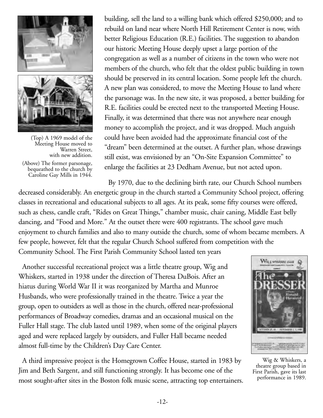



(Top) A 1969 model of the Meeting House moved to Warren Street, with new addition.

(Above) The former parsonage, bequeathed to the church by Caroline Gay Mills in 1944.

building, sell the land to a willing bank which offered \$250,000; and to rebuild on land near where North Hill Retirement Center is now, with better Religious Education (R.E.) facilities. The suggestion to abandon our historic Meeting House deeply upset a large portion of the congregation as well as a number of citizens in the town who were not members of the church, who felt that the oldest public building in town should be preserved in its central location. Some people left the church. A new plan was considered, to move the Meeting House to land where the parsonage was. In the new site, it was proposed, a better building for R.E. facilities could be erected next to the transported Meeting House. Finally, it was determined that there was not anywhere near enough money to accomplish the project, and it was dropped. Much anguish could have been avoided had the approximate financial cost of the "dream" been determined at the outset. A further plan, whose drawings still exist, was envisioned by an "On-Site Expansion Committee" to enlarge the facilities at 23 Dedham Avenue, but not acted upon.

By 1970, due to the declining birth rate, our Church School numbers

decreased considerably. An energetic group in the church started a Community School project, offering classes in recreational and educational subjects to all ages. At its peak, some fifty courses were offered, such as chess, candle craft, "Rides on Great Things," chamber music, chair caning, Middle East belly dancing, and "Food and More." At the outset there were 400 registrants. The school gave much enjoyment to church families and also to many outside the church, some of whom became members. A few people, however, felt that the regular Church School suffered from competition with the Community School. The First Parish Community School lasted ten years

Another successful recreational project was a little theatre group, Wig and Whiskers, started in 1938 under the direction of Theresa DuBois. After an hiatus during World War II it was reorganized by Martha and Munroe Husbands, who were professionally trained in the theatre. Twice a year the group, open to outsiders as well as those in the church, offered near-professional performances of Broadway comedies, dramas and an occasional musical on the Fuller Hall stage. The club lasted until 1989, when some of the original players aged and were replaced largely by outsiders, and Fuller Hall became needed almost full-time by the Children's Day Care Center.

A third impressive project is the Homegrown Coffee House, started in 1983 by Jim and Beth Sargent, and still functioning strongly. It has become one of the most sought-after sites in the Boston folk music scene, attracting top entertainers.



Wig & Whiskers, a theatre group based in First Parish, gave its last performance in 1989.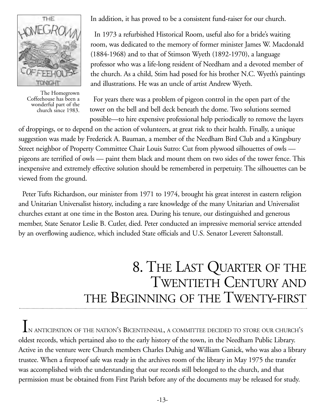

The Homegrown Coffeehouse has been a wonderful part of the church since 1983.

In addition, it has proved to be a consistent fund-raiser for our church.

In 1973 a refurbished Historical Room, useful also for a bride's waiting room, was dedicated to the memory of former minister James W. Macdonald (1884-1968) and to that of Stimson Wyeth (1892-1970), a language professor who was a life-long resident of Needham and a devoted member of the church. As a child, Stim had posed for his brother N.C. Wyeth's paintings and illustrations. He was an uncle of artist Andrew Wyeth.

For years there was a problem of pigeon control in the open part of the tower on the bell and bell deck beneath the dome. Two solutions seemed possible—to hire expensive professional help periodically to remove the layers

of droppings, or to depend on the action of volunteers, at great risk to their health. Finally, a unique suggestion was made by Frederick A. Bauman, a member of the Needham Bird Club and a Kingsbury Street neighbor of Property Committee Chair Louis Sutro: Cut from plywood silhouettes of owls pigeons are terrified of owls — paint them black and mount them on two sides of the tower fence. This inexpensive and extremely effective solution should be remembered in perpetuity. The silhouettes can be viewed from the ground.

Peter Tufts Richardson, our minister from 1971 to 1974, brought his great interest in eastern religion and Unitarian Universalist history, including a rare knowledge of the many Unitarian and Universalist churches extant at one time in the Boston area. During his tenure, our distinguished and generous member, State Senator Leslie B. Cutler, died. Peter conducted an impressive memorial service attended by an overflowing audience, which included State officials and U.S. Senator Leverett Saltonstall.

## 8. THE LAST QUARTER OF THE TWENTIETH CENTURY AND THE BEGINNING OF THE TWENTY-FIRST

IN ANTICIPATION OF THE NATION'S BICENTENNIAL, A COMMITTEE DECIDED TO STORE OUR CHURCH'S oldest records, which pertained also to the early history of the town, in the Needham Public Library. Active in the venture were Church members Charles Duhig and William Ganick, who was also a library trustee. When a fireproof safe was ready in the archives room of the library in May 1975 the transfer was accomplished with the understanding that our records still belonged to the church, and that permission must be obtained from First Parish before any of the documents may be released for study.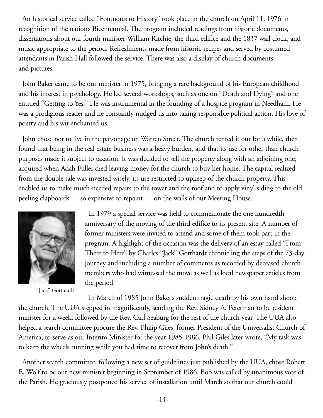An historical service called "Footnotes to History" took place in the church on April 11, 1976 in recognition of the nation's Bicentennial. The program included readings from historic documents, dissertations about our fourth minister William Ritchie, the third edifice and the 1837 wall clock, and music appropriate to the period. Refreshments made from historic recipes and served by costumed attendants in Parish Hall followed the service. There was also a display of church documents and pictures.

John Baker came to be our minister in 1975, bringing a rare background of his European childhood and his interest in psychology. He led several workshops, such as one on "Death and Dying" and one entitled "Getting to Yes." He was instrumental in the founding of a hospice program in Needham. He was a prodigious reader and he constantly nudged us into taking responsible political action. His love of poetry and his wit enchanted us.

John chose not to live in the parsonage on Warren Street. The church rented it out for a while, then found that being in the real estate business was a heavy burden, and that its use for other than church purposes made it subject to taxation. It was decided to sell the property along with an adjoining one, acquired when Adah Fuller died leaving money for the church to buy her home. The capital realized from the double sale was invested wisely, its use restricted to upkeep of the church property. This enabled us to make much-needed repairs to the tower and the roof and to apply vinyl siding to the old peeling clapboards — so expensive to repaint — on the walls of our Meeting House.



"Jack" Gotthardt

In 1979 a special service was held to commemorate the one hundredth anniversary of the moving of the third edifice to its present site. A number of former ministers were invited to attend and some of them took part in the program. A highlight of the occasion was the delivery of an essay called "From There to Here" by Charles "Jack" Gotthardt chronicling the steps of the 73-day journey and including a number of comments as recorded by deceased church members who had witnessed the move as well as local newspaper articles from the period.

In March of 1985 John Baker's sudden tragic death by his own hand shook the church. The UUA stepped in magnificently, sending the Rev. Sidney A. Peterman to be resident minister for a week, followed by the Rev. Carl Seaburg for the rest of the church year. The UUA also helped a search committee procure the Rev. Philip Giles, former President of the Universalist Church of America, to serve as our Interim Minister for the year 1985-1986. Phil Giles later wrote, "My task was to keep the wheels running while you had time to recover from John's death."

Another search committee, following a new set of guidelines just published by the UUA, chose Robert E. Wolf to be our new minister beginning in September of 1986. Bob was called by unanimous vote of the Parish. He graciously postponed his service of installation until March so that our church could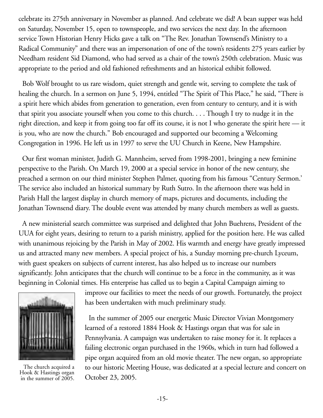celebrate its 275th anniversary in November as planned. And celebrate we did! A bean supper was held on Saturday, November 15, open to townspeople, and two services the next day. In the afternoon service Town Historian Henry Hicks gave a talk on "The Rev. Jonathan Townsend's Ministry to a Radical Community" and there was an impersonation of one of the town's residents 275 years earlier by Needham resident Sid Diamond, who had served as a chair of the town's 250th celebration. Music was appropriate to the period and old fashioned refreshments and an historical exhibit followed.

Bob Wolf brought to us rare wisdom, quiet strength and gentle wit, serving to complete the task of healing the church. In a sermon on June 5, 1994, entitled "The Spirit of This Place," he said, "There is a spirit here which abides from generation to generation, even from century to century, and it is with that spirit you associate yourself when you come to this church. . . . Though I try to nudge it in the right direction, and keep it from going too far off its course, it is not I who generate the spirit here — it is you, who are now the church." Bob encouraged and supported our becoming a Welcoming Congregation in 1996. He left us in 1997 to serve the UU Church in Keene, New Hampshire.

Our first woman minister, Judith G. Mannheim, served from 1998-2001, bringing a new feminine perspective to the Parish. On March 19, 2000 at a special service in honor of the new century, she preached a sermon on our third minister Stephen Palmer, quoting from his famous "Century Sermon.' The service also included an historical summary by Ruth Sutro. In the afternoon there was held in Parish Hall the largest display in church memory of maps, pictures and documents, including the Jonathan Townsend diary. The double event was attended by many church members as well as guests.

A new ministerial search committee was surprised and delighted that John Buehrens, President of the UUA for eight years, desiring to return to a parish ministry, applied for the position here. He was called with unanimous rejoicing by the Parish in May of 2002. His warmth and energy have greatly impressed us and attracted many new members. A special project of his, a Sunday morning pre-church Lyceum, with guest speakers on subjects of current interest, has also helped us to increase our numbers significantly. John anticipates that the church will continue to be a force in the community, as it was beginning in Colonial times. His enterprise has called us to begin a Capital Campaign aiming to



The church acquired a Hook & Hastings organ in the summer of 2005.

improve our facilities to meet the needs of our growth. Fortunately, the project has been undertaken with much preliminary study.

In the summer of 2005 our energetic Music Director Vivian Montgomery learned of a restored 1884 Hook & Hastings organ that was for sale in Pennsylvania. A campaign was undertaken to raise money for it. It replaces a failing electronic organ purchased in the 1960s, which in turn had followed a pipe organ acquired from an old movie theater. The new organ, so appropriate to our historic Meeting House, was dedicated at a special lecture and concert on October 23, 2005.